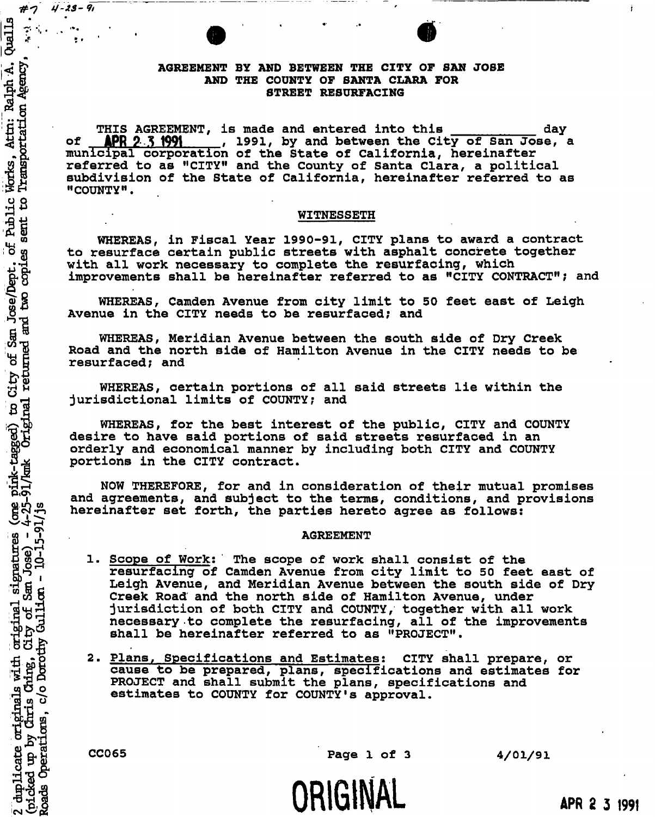# **AGREEMENT BY AND BETWEEN THE CITY OF SAN JOSE AND THE COUNTY OF SANTA CLARA FOR STREET RESURFACING**

THIS AGREEMENT, is made and entered into this \_\_\_\_\_\_\_\_\_\_\_\_ day<br>**APR 2.3 1991\_\_\_\_\_, 1991, by and between the City of San Jose, of APR 9 5 1991 1991, by and between the City of San Jose, a municipal corporation of the State of California, hereinafter referred to as "CITY" and the County of Santa Clara, a political subdivision of the State of California, hereinafter referred to as "COUNTY".** 

#### **WITNESSETH**

**WHEREAS, in Fiscal Year 1990-91, CITY plans to award a contract to resurface certain public streets with asphalt concrete together with all work necessary to complete the resurfacing, which improvements shall be hereinafter referred to as "CITY CONTRACT"; and** 

**WHEREAS, Camden Avenue from city limit to 50 feet east of Leigh Avenue in the CITY needs to be resurfaced; and** 

**WHEREAS, Meridian Avenue between the south side of Dry Creek Road and the north side of Hamilton Avenue in the CITY needs to be resurfaced; and** 

**WHEREAS, certain portions of all said streets lie within the jurisdictional limits of COUNTY; and** 

**WHEREAS, for the best interest of the public, CITY and COUNTY desire to have said portions of said streets resurfaced in an orderly and economical manner by including both CITY and COUNTY portions in the CITY contract.** 

**NOW THEREFORE, for and in consideration of their mutual promises and agreements, and subject to the terms, conditions, and provisions hereinafter set forth, the parties hereto agree as follows:** 

#### **i J AGREEMENT**

- 1. Scope of Work: The scope of work shall consist of the  **resurfacing of Camden Avenue from city limit to 50 feet east of**  Leigh Avenue, and Meridian Avenue between the south side of Dry **EXECUTE:** Creek Road and the north side of Hamilton Avenue, under<br>
durisdiction of both CITY and COUNTY, together with all<br>
necessary to complete the resurfacing, all of the impro<br>
shall be hereinafter referred to as "PRO **'jtajEj jurisdiction of both CITY and COUNTY, together with all work necessary to complete the resurfacing, all of the improvements** 
	- **•frontifful be hereinafter referred to as "PROJECT".**<br> **2. <u>Plans, Specifications and Estimates</u>: CITY shall cause to be prepared, plans, specifications and PROJECT and shall submit the plans, specifications estimates to .g -p 2. Plans, Specifications and Estimates: CITY shall prepare, or •**h **8Pp cause to be prepared, plans, specifications and estimates for PROJECT and shall submit the plans, specifications and 1** estimates to COUNTY for COUNTY's approval.

*#•7 tj-iS-h* 

**H** *T'* **' • '** 

**43 J** 

*I \* '* 

Transportation Agency Attn:

 $\beta$ Public sent

copies

and<br>B  $S<sub>4</sub>$ 

Works,

႞႕

Jose/Dept.  $B<sub>o</sub>$ 

(one pink-tagged) to City of Sand and the Sand of Sand Control of Sand Control of Sand Control of Sand Control of Sand Control of Sand Control of Sand Control of Sand Control of Sand Control of Sand Control of Sand Control

**B** 

**£!»-><sup>i</sup>**

duplicate originals with<br>ticked up by Chris Ching,<br>ads Operations, c/o Doro

**I f**  $\frac{1}{2}$  **f**  $\frac{1}{2}$  **f**  $\frac{1}{2}$  **f**  $\frac{1}{2}$  **f**  $\frac{1}{2}$  **f**  $\frac{1}{2}$  **f**  $\frac{1}{2}$  **f**  $\frac{1}{2}$  **f**  $\frac{1}{2}$  **f**  $\frac{1}{2}$  **f**  $\frac{1}{2}$  **f**  $\frac{1}{2}$  **f**  $\frac{1}{2}$  **f**  $\frac{1}{2}$  **f**  $\frac{1}{2}$  **f**  $\frac{$ 

APR 2 3 1991

Ť.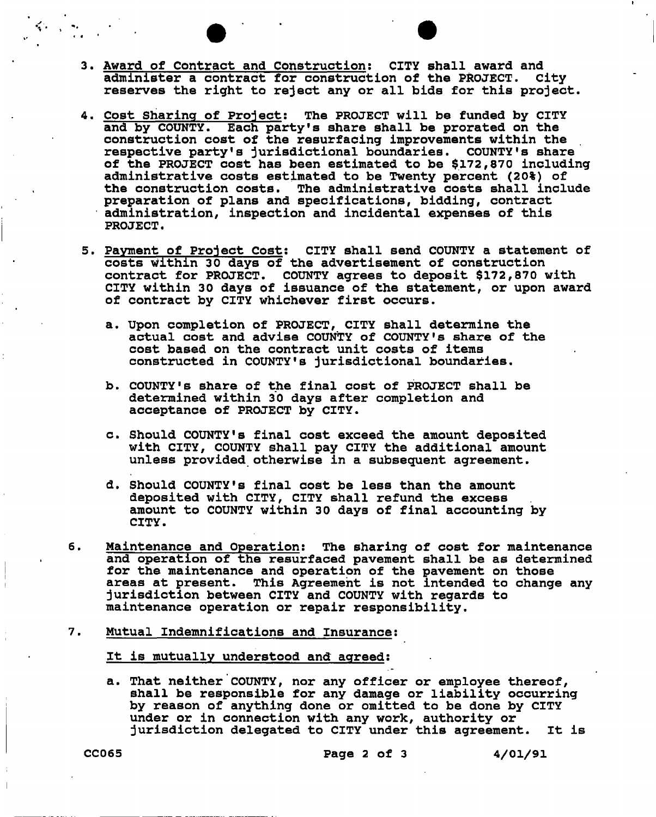- **3. Award of Contract and Construction; CITY shall award and administer a contract for construction of the PROJECT. City reserves the right to reject any or all bids for this project,**
- **4. Cost Sharing of Project: The PROJECT will be funded by CITY and by COUNTY. Each party's share shall be prorated on the construction cost of the resurfacing improvements within the respective party's jurisdictional boundaries. COUNTY**'S **share of the PROJECT cost has been estimated to be \$172,870 including administrative costs estimated to be Twenty percent (20%) of the construction costs. The administrative costs shall include preparation of plans and specifications, bidding, contract administration, inspection and incidental expenses of this PROJECT.**
- **5. Payment of Project Cost: CITY shall send COUNTY a statement of costs within 30 days of the advertisement of construction contract for PROJECT. COUNTY agrees to deposit \$172,870 with CITY within 30 days of issuance of the statement, or upon award of contract by CITY whichever first occurs.** 
	- **a. Upon completion of PROJECT, CITY shall determine the actual cost and advise COUNTY of COUNTY**'S **share of the cost based on the contract unit costs of items constructed in COUNTY'S jurisdictional boundaries.**
	- **b. COUNTY'S share of the final cost of PROJECT shall be determined within 30 days after completion and acceptance of PROJECT by CITY.**
	- **c. Should COUNTY'S final cost exceed the amount deposited with CITY, COUNTY shall pay CITY the additional amount unless provided otherwise in a subsequent agreement.**
	- **d. Should COUNTY'S final cost be less than the amount deposited with CITY, CITY shall refund the excess amount to COUNTY within 30 days of final accounting by CITY.**
- **6. Maintenance and Operation: The sharing of cost for maintenance and operation of the resurfaced pavement shall be as determined for the maintenance and operation of the pavement on those areas at present. This Agreement is not intended to change any jurisdiction between CITY and COUNTY with regards to maintenance operation or repair responsibility.**
- **7. Mutual Indemnifications and Insurance:**

**It is mutually understood and agreed:** 

**a. That neither COUNTY, nor any officer or employee thereof, shall be responsible for any damage or liability occurring by reason of anything done or omitted to be done by CITY under or in connection with any work, authority or jurisdiction delegated to CITY under this agreement. It is**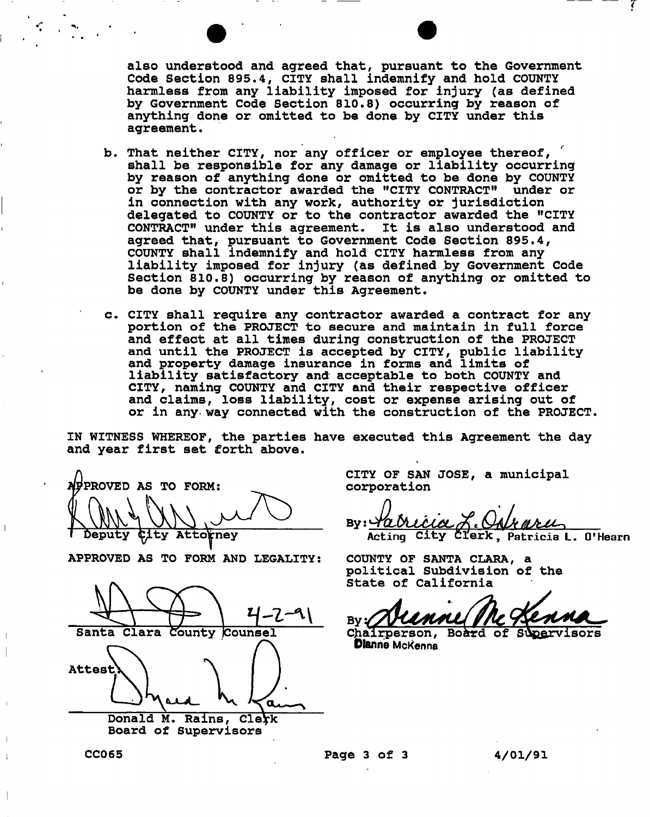**also understood and agreed that, pursuant to the Government Code Section 895.4, CITY shall indemnify and hold COUNTY harmless from any liability imposed for injury (as defined by Government Code Section 810.8) occurring by reason of anything done or omitted to be done by CITY under this**  agreement.

- **b. That neither CITY, nor any officer or employee thereof, shall be responsible for any damage or liability occurring by reason of anything done or omitted to be done by COUNTY or by the contractor awarded the "CITY CONTRACT" under or in connection with any work, authority or jurisdiction delegated to COUNTY or to the contractor awarded the "CITY CONTRACT" under this agreement. It is also understood and agreed that, pursuant to Government Code Section 895.4, COUNTY shall indemnify and hold CITY harmless from any liability imposed for injury (as defined by Government Code Section 810.8) occurring by reason of anything or omitted to be done by COUNTY under this Agreement.**
- **c. CITY shall require any contractor awarded a contract for any portion of the PROJECT to secure and maintain in full force and effect at all times during construction of the PROJECT and until the PROJECT is accepted by CITY, public liability and property damage insurance in forms and limits of liability satisfactory and acceptable to both COUNTY and CITY, naming COUNTY and CITY and their respective officer and claims, loss liability, cost or expense arising out of or in any way connected with the construction of the PROJECT**

**IN WITNESS WHEREOF, the parties have executed this Agreement the day and year first set forth above.** 

**'PROVED AS TO FORM: Deputy ^ity Attorney** 

**APPROVED AS TO FORM AND LEGALITY:** 

Santa Clara County Counsel Attest **Donald M. Rains, Clerk Board of Supervisors** 

**CITY OF SAN JOSE, a municipal corporation** 

**B y ;** *JLbUJU^ MJtM^*  Acting City Clerk, Patricia L. O'Hearn

**COUNTY OF SANTA CLARA, a political Subdivision of the State of California** 

Bv 2

Chairperson, Board of Supervisors **Dtanne Mckenna** 

**CC06 5 Pag e 3 o f 3 4/01/9 1**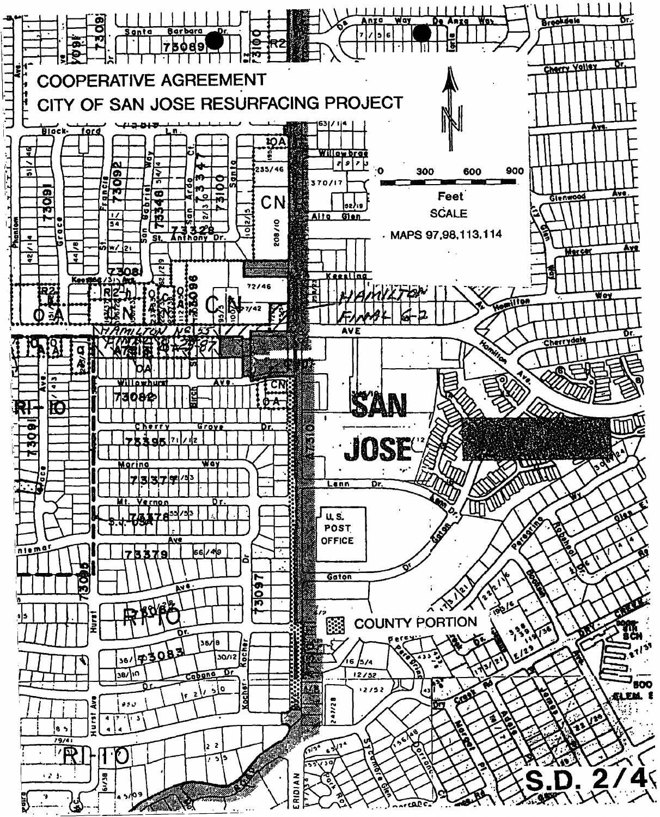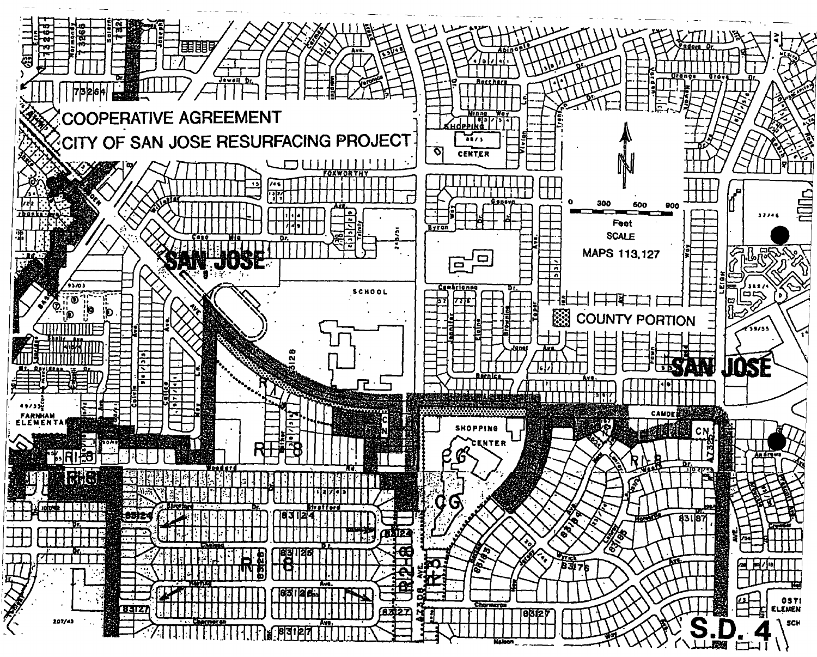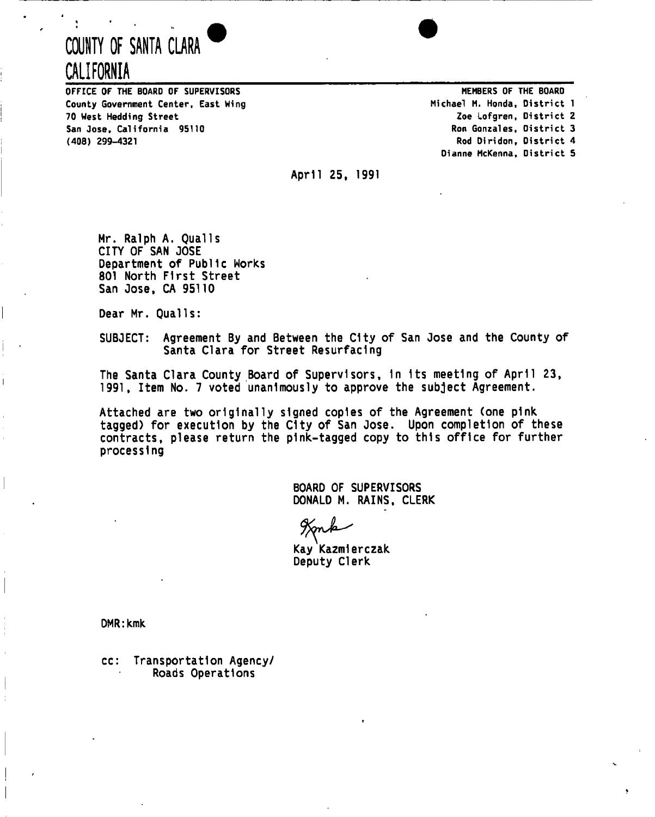# **COUNTY OF SANTA CLARA CALIFORNIA**

**OFFICE OF THE BOARD OF SUPERVISORS County Government Center, East Wing 70 West Hedding Street San Jose, California 95110 (408) 299-4321** 

**MEMBERS OF THE BOARD Michael M. Honda, District 1 Zoe Lofgren, District 2 Ron Gonzales, District 3 Rod Diridon, District 4 Dianne McKenna, District 5** 

April 25, 1991

Mr. Ralph A. Quails CITY OF SAN JOSE Department of Public Works 801 North First Street San Jose, CA 95110

Dear Mr. Quails:

SUBJECT: Agreement By and Between the City of San Jose and the County of Santa Clara for Street Resurfacing

The Santa Clara County Board of Supervisors, In Its meeting of April 23, 1991, Item No. 7 voted unanimously to approve the subject Agreement.

Attached are two originally signed copies of the Agreement (one pink tagged) for execution by the City of San Jose. Upon completion of these contracts, please return the pink-tagged copy to this office for further processing

> BOARD OF SUPERVISORS DONALD M. RAINS, CLERK

Kay Kazmlerczak Deputy Clerk

DMR: kmk

cc: Transportation Agency/ Roads Operations

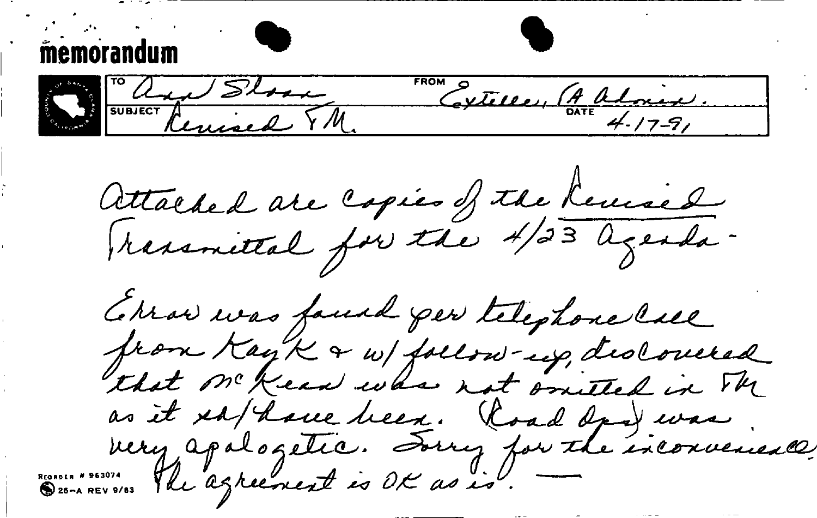memorandum Slow Slow MExtelle, (A almix. Attached are copies of the Remised Cerrai was faund per telephone call from KayK & w/ follow-up, declosered as it es/have been. Road dans was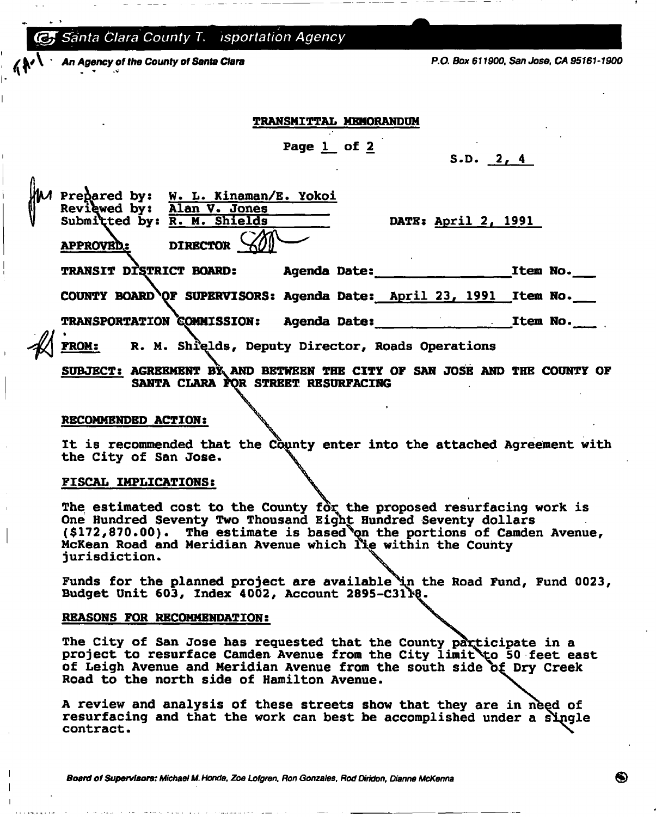*G***, Santa Clara County T. isportation Agency** 

*' An Agency of the County of Santa Clara P.O. Box 611900, San Jose. CA 95161-1900* 

# **TRANSMITTAL MEMORANDUM**

**Page 1 of 2** 

**S.D. 2, 4** 

**Prepared by: W . L» Kinaman/E. Yokoi Reviewed by: Alan V. Jones**<br>Submitted by: R. M. Shields

**Submitted by: R. M. Shields DATE: April 2, 1991** 

**APPROVED,: DIRECTOR ^0— ^ TRANSIT DI\*\$TRICT BOARD: Agenda Date: Item No. COUNTY BOARD^OF SUPERVISORS: Agenda Date: April 23, 1991 Item No. TRANSPORTATION COMMISSION:** Agenda Date: <u>Item No.</u> 2002. **FROM: R . M . Shrelds, Deputy Director, Roads Operations** 

SUBJECT: AGREEMENT BY AND BETWEEN THE CITY OF SAN JOSE AND THE COUNTY OF **SANTA CLARA FOR STREET RESURFACING** 

## **RECOMMENDED ACTION:**

It is recommended that the County enter into the attached Agreement with **the City of San Jose.** 

## **FISCAL IMPLICATIONS:**

The estimated cost to the County for the proposed resurfacing work is **One Hundred Seventy Two Thousand Eight Hundred Seventy dollars (\$172,870.00). The estimate is based^on the portions of Camden Avenue, McKean Road and Meridian Avenue which within the County jurisdiction.** 

Funds for the planned project are available in the Road Fund, Fund 0023, **Budget Unit 603, Index 4002, Account 2895-C31** 

## **REASONS FOR RECOMMENDATION:**

The City of San Jose has requested that the County participate in a project to resurface Camden Avenue from the City limit to 50 feet east **of Leigh Avenue and Meridian Avenue from the south side o£ Dry Creek Road to the north side of Hamilton Avenue.** 

**A review and analysis of these streets show that they are in nbed of resurfacing and that the work can best be accomplished under a single contract** 

*Board of Supervisors: Michael M. Honda. Zoe Lofgren, Ron Gonzales, Rod Diridon, Dianne McKenna*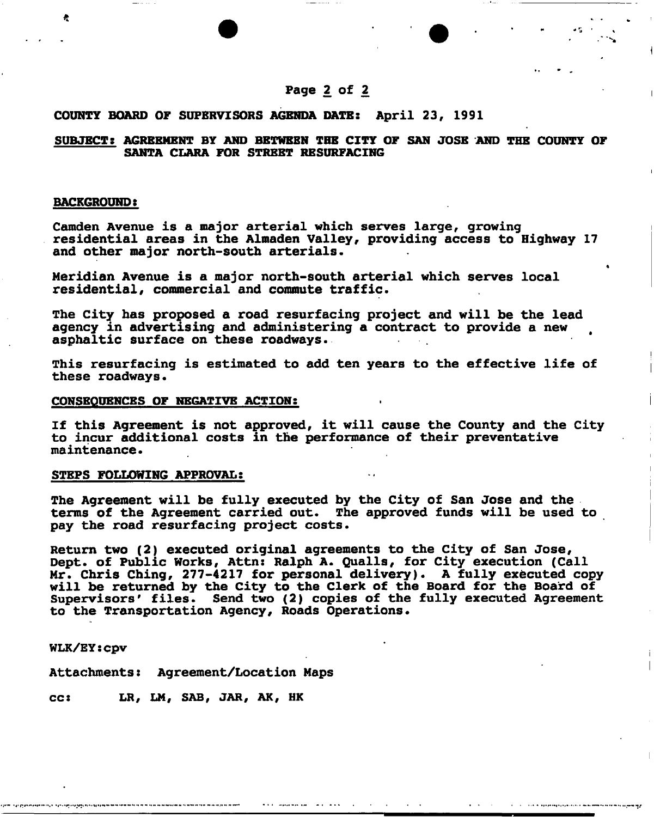# **COUNTY BOARD OF SUPERVISORS AGENDA DATE: April 23, 1991**

# **SUBJECT: AGREEMENT BY AND BETWEEN THE CITY OF SAN JOSE AND THE COUNTY OF SANTA CLARA FOR STREET RESURFACING**

#### **BACKGROUND:**

**Camden Avenue is a major arterial which serves large, growing residential areas in the Almaden Valley, providing access to Highway 17 and other major north-south arterials.** 

**Meridian Avenue is a major north-south arterial which serves local residential, commercial and commute traffic.** 

**The City has proposed a road resurfacing project and will be the lead agency in advertising and administering a contract to provide a new asphaltic surface on these roadways.** 

**This resurfacing is estimated to add ten years to the effective life of these roadways.** 

#### **CONSEQUENCES OF NEGATIVE ACTION:**

**If this Agreement is not approved, it will cause the County and the City to incur additional costs in the performance of their preventative maintenance.** 

## **STEPS FOLLOWING APPROVAL:**

**The Agreement will be fully executed by the City of San Jose and the terms of the Agreement carried out. The approved funds will be used to pay the road resurfacing project costs.** 

**Return two (2) executed original agreements to the City of San Jose, Dept. of Public Works, Attn: Ralph A . Quails, for City execution (Call**  Mr. Chris Ching, 277-4217 for personal delivery). A fully executed copy **will be returned by the City to the Clerk of the Board for the Board of Supervisors' files. Send two (2) copies of the fully executed Agreement to the Transportation Agency, Roads Operations.** 

**WLK/EY:Cpv** 

**Attachments: Agreement/Location Maps** 

**cc: LR, LM, SAB, JAR, AK, HK**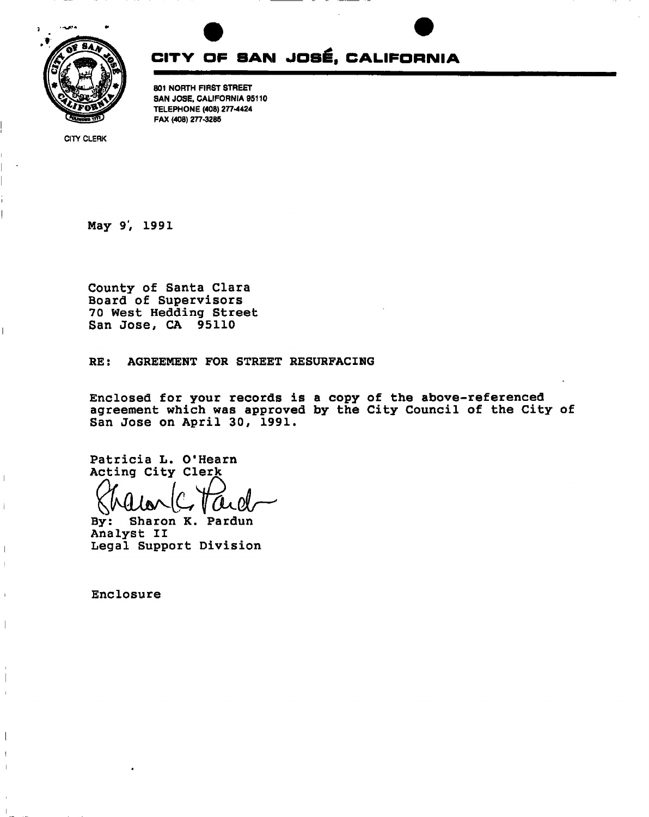



801 NORTH FIRST STREET SAN JOSE, CALIFORNIA 95110 TELEPHONE (408) 277-4424 FAX (408) 277-3285

**CITY CLERK** 

**I** 

 $\overline{\phantom{a}}$ 

 $\overline{1}$ 

**May 9', 1991** 

**County of Santa Clara Board of Supervisors 70 West Hedding Street San Jose, CA 95110** 

**RE: AGREEMENT FOR STREET RESURFACING** 

**Enclosed for your records is a copy of the above-referenced agreement which was approved by the City Council of the City of San Jose on April 30, 1991.** 

**Patricia L. O'Hearn Actina Citv Clerk** 

**By: Sharon K. Pardun Analyst II Legal Support Division** 

**Enclosure**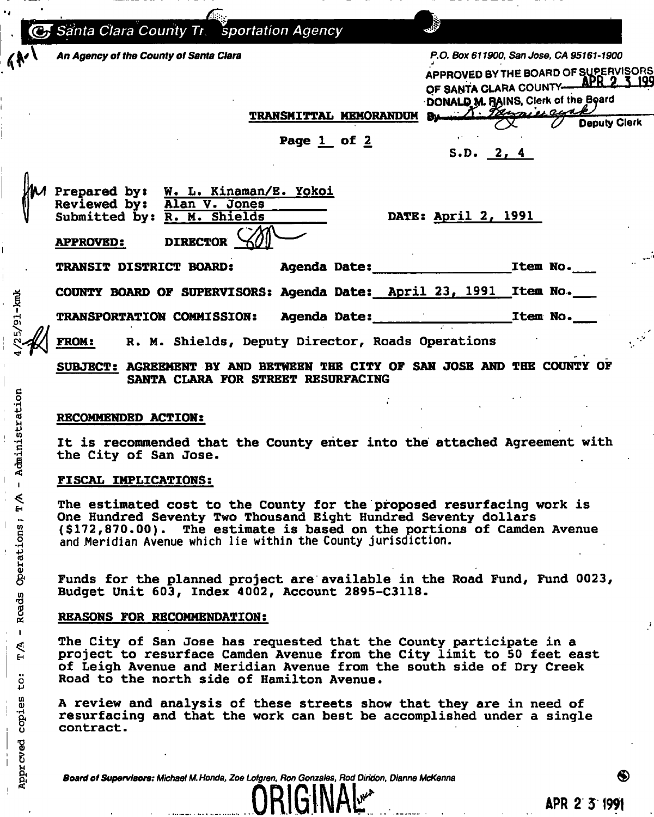*(jgj Santa Clara County* **77** *sportation Agency V An Agency of the County of Santa Clara P.O. Box 611900, San Jose, CA 95161-1900*  APPROVED BYTHE BOARD OF SUPERVISORS OF SANTA CLARA COUNTY **APR 2 3 199 DONALD M. RAINS, Clerk of the Board TRANSMITTAL MEMORANDUM** Deputy Clerk  $\infty$ U -**Page 1 of 2 S.D. 2, 4**  Prepared by: W. L. Kinaman/E. Yokoi Reviewed by: Alan V. Jones **Reviewed by: Submitted by: R . M« Shields DATE: April 2, 1991 APPROVED: DIRECTOR TRANSIT DISTRICT BOARD: Agenda Date: Item No. I COUNTY BOARD OF SUPERVISORS: Agenda Date: April 23, 1991 Item No.**  I<br>4 TRANSPORTATION COMMISSION: Agenda Date: **1988** Mo. **rH \ FR0M s M - Shields, Deputy Director, Roads Operations** 

**SUBJECT: AGREEMENT BY AND BETWEEN THE CITY OF SAN JOSE AND THE COUNTY OF SANTA CLARA FOR STREET RESURFACING** 

# RECOMMENDED ACTION:

**•H •** 

**Kanada** 

 $\frac{6}{10}$ 

**•P U]** 

 $\ddot{\mathbf{g}}$ 

**•p**  ti *u Q)* 

**w**

o **•p** 

8- ! **O** 

cved *t U* 

₹

It is recommended that the County enter into the attached Agreement with **the City of San Jose-**

# **\* FISCAL IMPLICATIONS:**

**^ The estimated cost to the County for the proposed resurfacing work is One Hundred Seventy Two Thousand Eight Hundred Seventy dollars £ (\$172,870.00). The estimate is based on the portions of Camden Avenue .3 and Meridian Avenue which lie within the County jurisdiction.** 

g< **Funds for the planned project are available in the Road Fund, Fund 0023, Budget Unit 603, Index 4002, Account 2895-C3118.** 

# **| REASONS FOR RECOMMENDATION:**

<sup>1</sup><br>
<sup>1</sup> The City of San Jose has requested that the County participate in a <sup>1</sup> **^ project to resurface Camden Avenue from the City limit to 50 feet east of Leigh Avenue and Meridian Avenue from the south side of Dry Creek Road to the north side of Hamilton Avenue.** 

**A review and analysis of these streets show that they are in need of resurfacing and that the work can best be accomplished under a single contract.** 

*p] Board of Supervisors: Michael M. Honda, Zoe Lofgren, Ron Gonzales, Rod Diridon, Dianne McKenna ®*